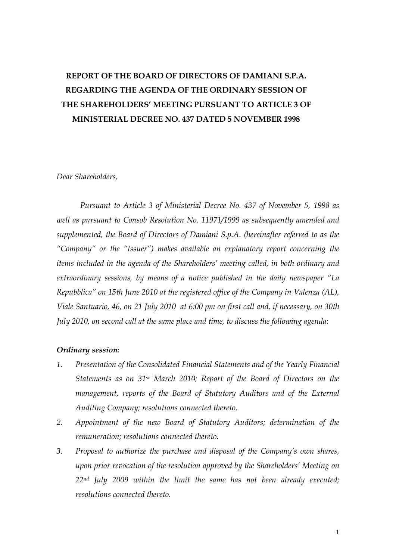# **REPORT OF THE BOARD OF DIRECTORS OF DAMIANI S.P.A. REGARDING THE AGENDA OF THE ORDINARY SESSION OF THE SHAREHOLDERS' MEETING PURSUANT TO ARTICLE 3 OF MINISTERIAL DECREE NO. 437 DATED 5 NOVEMBER 1998**

#### *Dear Shareholders,*

*Pursuant to Article 3 of Ministerial Decree No. 437 of November 5, 1998 as well as pursuant to Consob Resolution No. 11971/1999 as subsequently amended and supplemented, the Board of Directors of Damiani S.p.A. (hereinafter referred to as the "Company" or the "Issuer") makes available an explanatory report concerning the items included in the agenda of the Shareholders' meeting called, in both ordinary and extraordinary sessions, by means of a notice published in the daily newspaper "La Repubblica" on 15th June 2010 at the registered office of the Company in Valenza (AL), Viale Santuario, 46, on 21 July 2010 at 6:00 pm on first call and, if necessary, on 30th July 2010, on second call at the same place and time, to discuss the following agenda:* 

#### *Ordinary session:*

- *1. Presentation of the Consolidated Financial Statements and of the Yearly Financial Statements as on 31st March 2010; Report of the Board of Directors on the management, reports of the Board of Statutory Auditors and of the External Auditing Company; resolutions connected thereto.*
- *2. Appointment of the new Board of Statutory Auditors; determination of the remuneration; resolutions connected thereto.*
- *3. Proposal to authorize the purchase and disposal of the Company's own shares, upon prior revocation of the resolution approved by the Shareholders' Meeting on 22nd July 2009 within the limit the same has not been already executed; resolutions connected thereto.*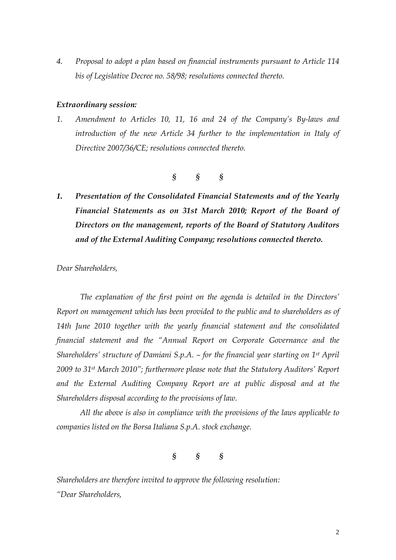*4. Proposal to adopt a plan based on financial instruments pursuant to Article 114 bis of Legislative Decree no. 58/98; resolutions connected thereto.* 

#### *Extraordinary session:*

*1. Amendment to Articles 10, 11, 16 and 24 of the Company's By-laws and introduction of the new Article 34 further to the implementation in Italy of Directive 2007/36/CE; resolutions connected thereto.* 

$$
\S \qquad \S \qquad \S
$$

*1. Presentation of the Consolidated Financial Statements and of the Yearly Financial Statements as on 31st March 2010; Report of the Board of Directors on the management, reports of the Board of Statutory Auditors and of the External Auditing Company; resolutions connected thereto.* 

*Dear Shareholders,* 

*The explanation of the first point on the agenda is detailed in the Directors' Report on management which has been provided to the public and to shareholders as of 14th June 2010 together with the yearly financial statement and the consolidated financial statement and the "Annual Report on Corporate Governance and the Shareholders' structure of Damiani S.p.A. – for the financial year starting on 1st April 2009 to 31st March 2010"; furthermore please note that the Statutory Auditors' Report and the External Auditing Company Report are at public disposal and at the Shareholders disposal according to the provisions of law.* 

*All the above is also in compliance with the provisions of the laws applicable to companies listed on the Borsa Italiana S.p.A. stock exchange.* 

*§ § §* 

*Shareholders are therefore invited to approve the following resolution: "Dear Shareholders,*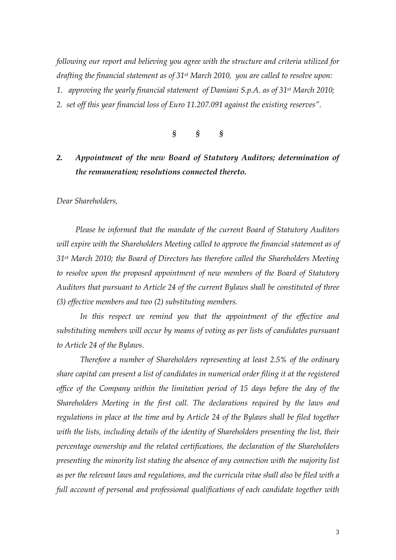*following our report and believing you agree with the structure and criteria utilized for drafting the financial statement as of 31st March 2010, you are called to resolve upon: 1. approving the yearly financial statement of Damiani S.p.A. as of 31st March 2010;* 

*2. set off this year financial loss of Euro 11.207.091 against the existing reserves".* 



## *2. Appointment of the new Board of Statutory Auditors; determination of the remuneration; resolutions connected thereto.*

*Dear Shareholders,* 

*Please be informed that the mandate of the current Board of Statutory Auditors will expire with the Shareholders Meeting called to approve the financial statement as of 31st March 2010; the Board of Directors has therefore called the Shareholders Meeting to resolve upon the proposed appointment of new members of the Board of Statutory Auditors that pursuant to Article 24 of the current Bylaws shall be constituted of three (3) effective members and two (2) substituting members.* 

 *In this respect we remind you that the appointment of the effective and substituting members will occur by means of voting as per lists of candidates pursuant to Article 24 of the Bylaws.* 

 *Therefore a number of Shareholders representing at least 2.5% of the ordinary share capital can present a list of candidates in numerical order filing it at the registered office of the Company within the limitation period of 15 days before the day of the Shareholders Meeting in the first call. The declarations required by the laws and regulations in place at the time and by Article 24 of the Bylaws shall be filed together with the lists, including details of the identity of Shareholders presenting the list, their percentage ownership and the related certifications, the declaration of the Shareholders presenting the minority list stating the absence of any connection with the majority list as per the relevant laws and regulations, and the curricula vitae shall also be filed with a full account of personal and professional qualifications of each candidate together with*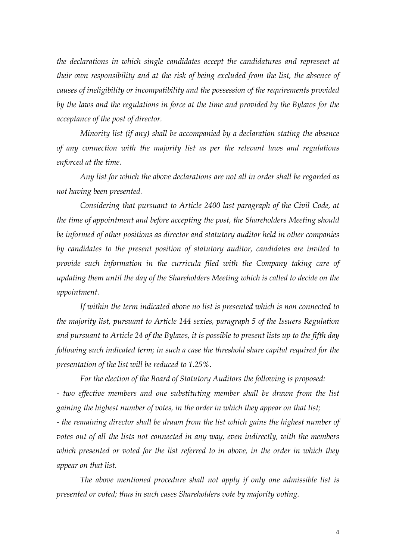the declarations in which single candidates accept the candidatures and represent at *their own responsibility and at the risk of being excluded from the list, the absence of causes of ineligibility or incompatibility and the possession of the requirements provided by the laws and the regulations in force at the time and provided by the Bylaws for the acceptance of the post of director.* 

 *Minority list (if any) shall be accompanied by a declaration stating the absence of any connection with the majority list as per the relevant laws and regulations enforced at the time.* 

 *Any list for which the above declarations are not all in order shall be regarded as not having been presented.* 

 *Considering that pursuant to Article 2400 last paragraph of the Civil Code, at the time of appointment and before accepting the post, the Shareholders Meeting should be informed of other positions as director and statutory auditor held in other companies by candidates to the present position of statutory auditor, candidates are invited to provide such information in the curricula filed with the Company taking care of updating them until the day of the Shareholders Meeting which is called to decide on the appointment.* 

 *If within the term indicated above no list is presented which is non connected to the majority list, pursuant to Article 144 sexies, paragraph 5 of the Issuers Regulation and pursuant to Article 24 of the Bylaws, it is possible to present lists up to the fifth day following such indicated term; in such a case the threshold share capital required for the presentation of the list will be reduced to 1.25%.* 

 *For the election of the Board of Statutory Auditors the following is proposed: - two effective members and one substituting member shall be drawn from the list gaining the highest number of votes, in the order in which they appear on that list; - the remaining director shall be drawn from the list which gains the highest number of votes out of all the lists not connected in any way, even indirectly, with the members which presented or voted for the list referred to in above, in the order in which they appear on that list.* 

 *The above mentioned procedure shall not apply if only one admissible list is presented or voted; thus in such cases Shareholders vote by majority voting.*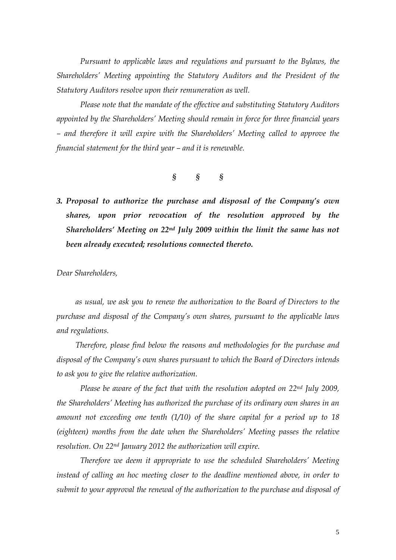Pursuant to applicable laws and regulations and pursuant to the Bylaws, the *Shareholders' Meeting appointing the Statutory Auditors and the President of the Statutory Auditors resolve upon their remuneration as well.* 

 *Please note that the mandate of the effective and substituting Statutory Auditors appointed by the Shareholders' Meeting should remain in force for three financial years – and therefore it will expire with the Shareholders' Meeting called to approve the financial statement for the third year – and it is renewable.* 

### *§ § §*

*3. Proposal to authorize the purchase and disposal of the Company's own shares, upon prior revocation of the resolution approved by the Shareholders' Meeting on 22nd July 2009 within the limit the same has not been already executed; resolutions connected thereto.* 

*Dear Shareholders,* 

*as usual, we ask you to renew the authorization to the Board of Directors to the purchase and disposal of the Company's own shares, pursuant to the applicable laws and regulations.* 

 *Therefore, please find below the reasons and methodologies for the purchase and disposal of the Company's own shares pursuant to which the Board of Directors intends to ask you to give the relative authorization.* 

 *Please be aware of the fact that with the resolution adopted on 22nd July 2009, the Shareholders' Meeting has authorized the purchase of its ordinary own shares in an amount not exceeding one tenth (1/10) of the share capital for a period up to 18 (eighteen) months from the date when the Shareholders' Meeting passes the relative resolution. On 22nd January 2012 the authorization will expire.* 

*Therefore we deem it appropriate to use the scheduled Shareholders' Meeting instead of calling an hoc meeting closer to the deadline mentioned above, in order to submit to your approval the renewal of the authorization to the purchase and disposal of*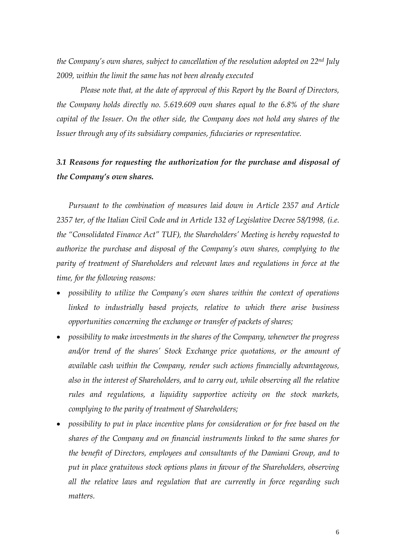*the Company's own shares, subject to cancellation of the resolution adopted on 22nd July 2009, within the limit the same has not been already executed* 

*Please note that, at the date of approval of this Report by the Board of Directors, the Company holds directly no. 5.619.609 own shares equal to the 6.8% of the share capital of the Issuer. On the other side, the Company does not hold any shares of the Issuer through any of its subsidiary companies, fiduciaries or representative.* 

## *3.1 Reasons for requesting the authorization for the purchase and disposal of the Company's own shares.*

*Pursuant to the combination of measures laid down in Article 2357 and Article 2357 ter, of the Italian Civil Code and in Article 132 of Legislative Decree 58/1998, (i.e. the "Consolidated Finance Act" TUF), the Shareholders' Meeting is hereby requested to authorize the purchase and disposal of the Company's own shares, complying to the parity of treatment of Shareholders and relevant laws and regulations in force at the time, for the following reasons:* 

- *possibility to utilize the Company's own shares within the context of operations linked to industrially based projects, relative to which there arise business opportunities concerning the exchange or transfer of packets of shares;*
- *possibility to make investments in the shares of the Company, whenever the progress and/or trend of the shares' Stock Exchange price quotations, or the amount of available cash within the Company, render such actions financially advantageous, also in the interest of Shareholders, and to carry out, while observing all the relative rules and regulations, a liquidity supportive activity on the stock markets, complying to the parity of treatment of Shareholders;*
- *possibility to put in place incentive plans for consideration or for free based on the shares of the Company and on financial instruments linked to the same shares for the benefit of Directors, employees and consultants of the Damiani Group, and to put in place gratuitous stock options plans in favour of the Shareholders, observing all the relative laws and regulation that are currently in force regarding such matters.*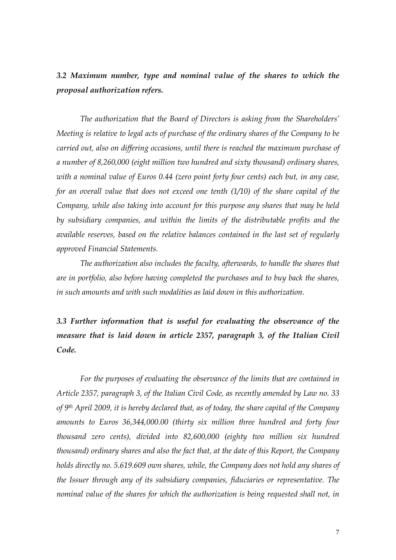*3.2 Maximum number, type and nominal value of the shares to which the proposal authorization refers.* 

*The authorization that the Board of Directors is asking from the Shareholders' Meeting is relative to legal acts of purchase of the ordinary shares of the Company to be carried out, also on differing occasions, until there is reached the maximum purchase of a number of 8,260,000 (eight million two hundred and sixty thousand) ordinary shares, with a nominal value of Euros 0.44 (zero point forty four cents) each but, in any case, for an overall value that does not exceed one tenth (1/10) of the share capital of the Company, while also taking into account for this purpose any shares that may be held by subsidiary companies, and within the limits of the distributable profits and the available reserves, based on the relative balances contained in the last set of regularly approved Financial Statements.* 

*The authorization also includes the faculty, afterwards, to handle the shares that are in portfolio, also before having completed the purchases and to buy back the shares, in such amounts and with such modalities as laid down in this authorization.* 

*3.3 Further information that is useful for evaluating the observance of the measure that is laid down in article 2357, paragraph 3, of the Italian Civil Code.* 

*For the purposes of evaluating the observance of the limits that are contained in Article 2357, paragraph 3, of the Italian Civil Code, as recently amended by Law no. 33 of 9th April 2009, it is hereby declared that, as of today, the share capital of the Company amounts to Euros 36,344,000.00 (thirty six million three hundred and forty four thousand zero cents), divided into 82,600,000 (eighty two million six hundred thousand) ordinary shares and also the fact that, at the date of this Report, the Company holds directly no. 5.619.609 own shares, while, the Company does not hold any shares of the Issuer through any of its subsidiary companies, fiduciaries or representative. The nominal value of the shares for which the authorization is being requested shall not, in*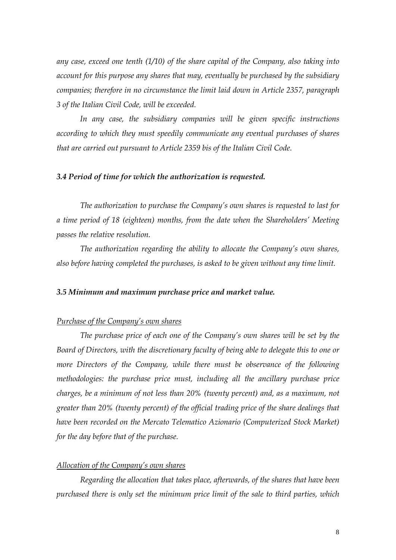*any case, exceed one tenth (1/10) of the share capital of the Company, also taking into account for this purpose any shares that may, eventually be purchased by the subsidiary companies; therefore in no circumstance the limit laid down in Article 2357, paragraph 3 of the Italian Civil Code, will be exceeded.* 

*In any case, the subsidiary companies will be given specific instructions according to which they must speedily communicate any eventual purchases of shares that are carried out pursuant to Article 2359 bis of the Italian Civil Code.* 

#### *3.4 Period of time for which the authorization is requested.*

*The authorization to purchase the Company's own shares is requested to last for a time period of 18 (eighteen) months, from the date when the Shareholders' Meeting passes the relative resolution.* 

*The authorization regarding the ability to allocate the Company's own shares, also before having completed the purchases, is asked to be given without any time limit.* 

#### *3.5 Minimum and maximum purchase price and market value.*

#### *Purchase of the Company's own shares*

*The purchase price of each one of the Company's own shares will be set by the Board of Directors, with the discretionary faculty of being able to delegate this to one or more Directors of the Company, while there must be observance of the following methodologies: the purchase price must, including all the ancillary purchase price charges, be a minimum of not less than 20% (twenty percent) and, as a maximum, not greater than 20% (twenty percent) of the official trading price of the share dealings that have been recorded on the Mercato Telematico Azionario (Computerized Stock Market) for the day before that of the purchase.* 

### *Allocation of the Company's own shares*

*Regarding the allocation that takes place, afterwards, of the shares that have been purchased there is only set the minimum price limit of the sale to third parties, which*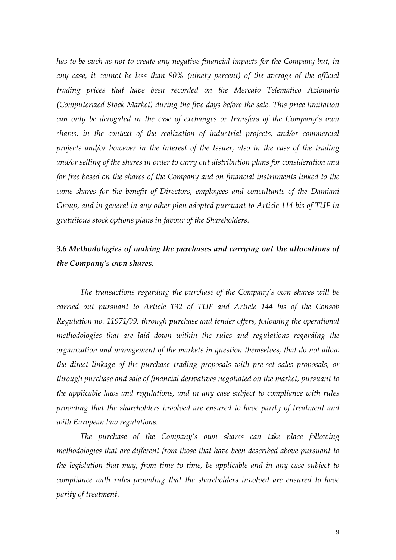*has to be such as not to create any negative financial impacts for the Company but, in any case, it cannot be less than 90% (ninety percent) of the average of the official trading prices that have been recorded on the Mercato Telematico Azionario (Computerized Stock Market) during the five days before the sale. This price limitation can only be derogated in the case of exchanges or transfers of the Company's own shares, in the context of the realization of industrial projects, and/or commercial projects and/or however in the interest of the Issuer, also in the case of the trading and/or selling of the shares in order to carry out distribution plans for consideration and for free based on the shares of the Company and on financial instruments linked to the same shares for the benefit of Directors, employees and consultants of the Damiani Group, and in general in any other plan adopted pursuant to Article 114 bis of TUF in gratuitous stock options plans in favour of the Shareholders.* 

## *3.6 Methodologies of making the purchases and carrying out the allocations of the Company's own shares.*

*The transactions regarding the purchase of the Company's own shares will be carried out pursuant to Article 132 of TUF and Article 144 bis of the Consob Regulation no. 11971/99, through purchase and tender offers, following the operational methodologies that are laid down within the rules and regulations regarding the organization and management of the markets in question themselves, that do not allow the direct linkage of the purchase trading proposals with pre-set sales proposals, or through purchase and sale of financial derivatives negotiated on the market, pursuant to the applicable laws and regulations, and in any case subject to compliance with rules providing that the shareholders involved are ensured to have parity of treatment and with European law regulations.* 

*The purchase of the Company's own shares can take place following methodologies that are different from those that have been described above pursuant to the legislation that may, from time to time, be applicable and in any case subject to compliance with rules providing that the shareholders involved are ensured to have parity of treatment.*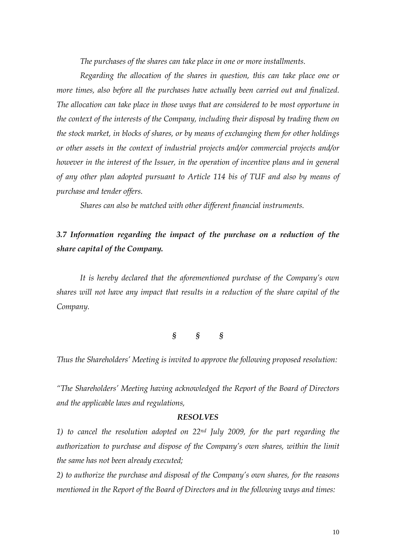*The purchases of the shares can take place in one or more installments.* 

*Regarding the allocation of the shares in question, this can take place one or more times, also before all the purchases have actually been carried out and finalized. The allocation can take place in those ways that are considered to be most opportune in the context of the interests of the Company, including their disposal by trading them on the stock market, in blocks of shares, or by means of exchanging them for other holdings or other assets in the context of industrial projects and/or commercial projects and/or however in the interest of the Issuer, in the operation of incentive plans and in general of any other plan adopted pursuant to Article 114 bis of TUF and also by means of purchase and tender offers.* 

*Shares can also be matched with other different financial instruments.* 

## *3.7 Information regarding the impact of the purchase on a reduction of the share capital of the Company.*

*It is hereby declared that the aforementioned purchase of the Company's own shares will not have any impact that results in a reduction of the share capital of the Company.* 

*§ § §* 

*Thus the Shareholders' Meeting is invited to approve the following proposed resolution:* 

*"The Shareholders' Meeting having acknowledged the Report of the Board of Directors and the applicable laws and regulations,* 

#### *RESOLVES*

*1) to cancel the resolution adopted on 22nd July 2009, for the part regarding the*  authorization to purchase and dispose of the Company's own shares, within the limit *the same has not been already executed;* 

*2) to authorize the purchase and disposal of the Company's own shares, for the reasons mentioned in the Report of the Board of Directors and in the following ways and times:*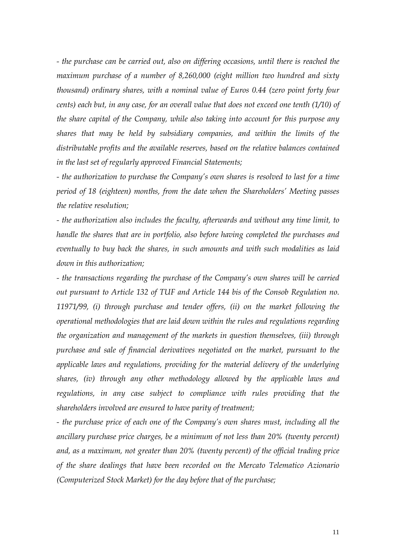*- the purchase can be carried out, also on differing occasions, until there is reached the maximum purchase of a number of 8,260,000 (eight million two hundred and sixty thousand) ordinary shares, with a nominal value of Euros 0.44 (zero point forty four cents) each but, in any case, for an overall value that does not exceed one tenth (1/10) of the share capital of the Company, while also taking into account for this purpose any shares that may be held by subsidiary companies, and within the limits of the distributable profits and the available reserves, based on the relative balances contained in the last set of regularly approved Financial Statements;* 

*- the authorization to purchase the Company's own shares is resolved to last for a time period of 18 (eighteen) months, from the date when the Shareholders' Meeting passes the relative resolution;* 

*- the authorization also includes the faculty, afterwards and without any time limit, to handle the shares that are in portfolio, also before having completed the purchases and eventually to buy back the shares, in such amounts and with such modalities as laid down in this authorization;* 

*- the transactions regarding the purchase of the Company's own shares will be carried out pursuant to Article 132 of TUF and Article 144 bis of the Consob Regulation no. 11971/99, (i) through purchase and tender offers, (ii) on the market following the operational methodologies that are laid down within the rules and regulations regarding the organization and management of the markets in question themselves, (iii) through purchase and sale of financial derivatives negotiated on the market, pursuant to the applicable laws and regulations, providing for the material delivery of the underlying shares, (iv) through any other methodology allowed by the applicable laws and*  regulations, in any case subject to compliance with rules providing that the *shareholders involved are ensured to have parity of treatment;* 

*- the purchase price of each one of the Company's own shares must, including all the ancillary purchase price charges, be a minimum of not less than 20% (twenty percent) and, as a maximum, not greater than 20% (twenty percent) of the official trading price of the share dealings that have been recorded on the Mercato Telematico Azionario (Computerized Stock Market) for the day before that of the purchase;*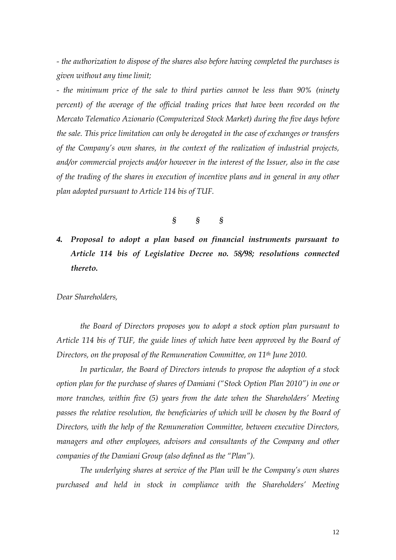*- the authorization to dispose of the shares also before having completed the purchases is given without any time limit;* 

*- the minimum price of the sale to third parties cannot be less than 90% (ninety percent*) of the average of the official trading prices that have been recorded on the *Mercato Telematico Azionario (Computerized Stock Market) during the five days before the sale. This price limitation can only be derogated in the case of exchanges or transfers of the Company's own shares, in the context of the realization of industrial projects, and/or commercial projects and/or however in the interest of the Issuer, also in the case of the trading of the shares in execution of incentive plans and in general in any other plan adopted pursuant to Article 114 bis of TUF.* 

*§ § §* 

# *4. Proposal to adopt a plan based on financial instruments pursuant to Article 114 bis of Legislative Decree no. 58/98; resolutions connected thereto.*

*Dear Shareholders,* 

*the Board of Directors proposes you to adopt a stock option plan pursuant to Article 114 bis of TUF, the guide lines of which have been approved by the Board of Directors, on the proposal of the Remuneration Committee, on 11th June 2010.* 

*In particular, the Board of Directors intends to propose the adoption of a stock option plan for the purchase of shares of Damiani ("Stock Option Plan 2010") in one or more tranches, within five (5) years from the date when the Shareholders' Meeting passes the relative resolution, the beneficiaries of which will be chosen by the Board of Directors, with the help of the Remuneration Committee, between executive Directors, managers and other employees, advisors and consultants of the Company and other companies of the Damiani Group (also defined as the "Plan").* 

*The underlying shares at service of the Plan will be the Company's own shares purchased and held in stock in compliance with the Shareholders' Meeting*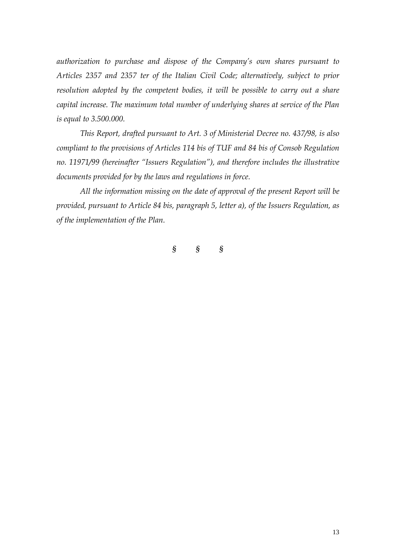*authorization to purchase and dispose of the Company's own shares pursuant to Articles 2357 and 2357 ter of the Italian Civil Code; alternatively, subject to prior resolution adopted by the competent bodies, it will be possible to carry out a share capital increase. The maximum total number of underlying shares at service of the Plan is equal to 3.500.000.* 

*This Report, drafted pursuant to Art. 3 of Ministerial Decree no. 437/98, is also compliant to the provisions of Articles 114 bis of TUF and 84 bis of Consob Regulation no. 11971/99 (hereinafter "Issuers Regulation"), and therefore includes the illustrative documents provided for by the laws and regulations in force.* 

*All the information missing on the date of approval of the present Report will be provided, pursuant to Article 84 bis, paragraph 5, letter a), of the Issuers Regulation, as of the implementation of the Plan.* 

*§ § §*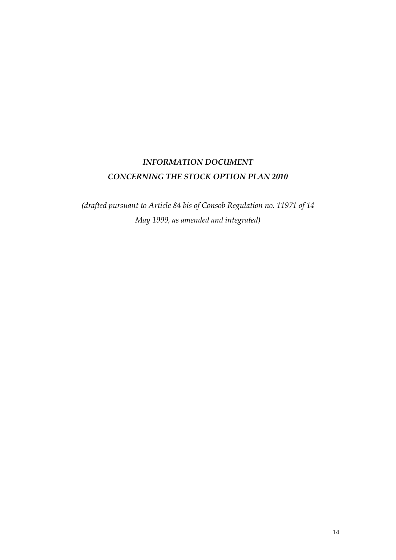## *INFORMATION DOCUMENT CONCERNING THE STOCK OPTION PLAN 2010*

*(drafted pursuant to Article 84 bis of Consob Regulation no. 11971 of 14 May 1999, as amended and integrated)*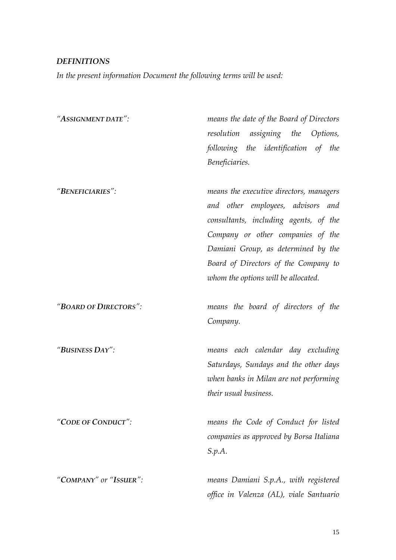### *DEFINITIONS*

*In the present information Document the following terms will be used:* 

| "ASSIGNMENT DATE":     | means the date of the Board of Directors |
|------------------------|------------------------------------------|
|                        | assigning the Options,<br>resolution     |
|                        | following the identification of<br>the   |
|                        | Beneficiaries.                           |
| "BENEFICIARIES":       | means the executive directors, managers  |
|                        | and other employees, advisors and        |
|                        | consultants, including agents, of the    |
|                        | Company or other companies of the        |
|                        | Damiani Group, as determined by the      |
|                        | Board of Directors of the Company to     |
|                        | whom the options will be allocated.      |
| "BOARD OF DIRECTORS":  | means the board of directors of the      |
|                        | Company.                                 |
| "BUSINESS DAY":        | means each calendar day excluding        |
|                        | Saturdays, Sundays and the other days    |
|                        | when banks in Milan are not performing   |
|                        | their usual business.                    |
| "CODE OF CONDUCT":     | means the Code of Conduct for listed     |
|                        | companies as approved by Borsa Italiana  |
|                        | S.p.A.                                   |
| "COMPANY" or "ISSUER": | means Damiani S.p.A., with registered    |
|                        | office in Valenza (AL), viale Santuario  |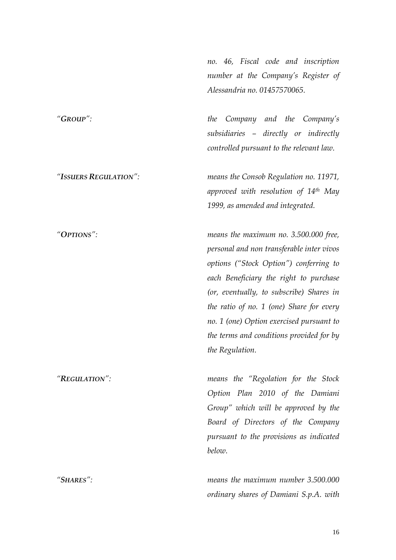*no. 46, Fiscal code and inscription number at the Company's Register of Alessandria no. 01457570065.* 

*"GROUP": the Company and the Company's subsidiaries – directly or indirectly controlled pursuant to the relevant law.* 

*"ISSUERS REGULATION": means the Consob Regulation no. 11971, approved with resolution of 14th May 1999, as amended and integrated.* 

*"OPTIONS": means the maximum no. 3.500.000 free, personal and non transferable inter vivos options ("Stock Option") conferring to each Beneficiary the right to purchase (or, eventually, to subscribe) Shares in the ratio of no. 1 (one) Share for every no. 1 (one) Option exercised pursuant to the terms and conditions provided for by the Regulation.* 

*"REGULATION": means the "Regolation for the Stock Option Plan 2010 of the Damiani Group" which will be approved by the Board of Directors of the Company pursuant to the provisions as indicated below.* 

*"SHARES": means the maximum number 3.500.000 ordinary shares of Damiani S.p.A. with*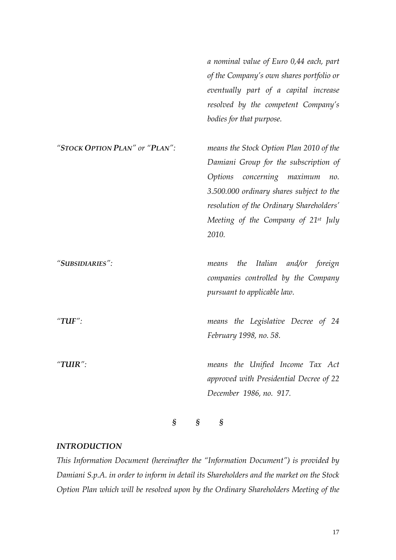*a nominal value of Euro 0,44 each, part of the Company's own shares portfolio or eventually part of a capital increase resolved by the competent Company's bodies for that purpose.* 

| "STOCK OPTION PLAN" or "PLAN": | means the Stock Option Plan 2010 of the         |
|--------------------------------|-------------------------------------------------|
|                                | Damiani Group for the subscription of           |
|                                | Options concerning maximum<br>no.               |
|                                | 3.500.000 ordinary shares subject to the        |
|                                | resolution of the Ordinary Shareholders'        |
|                                | Meeting of the Company of 21 <sup>st</sup> July |
|                                | 2010.                                           |
|                                |                                                 |
| "SUBSIDIARIES":                | means the Italian and/or foreign                |
|                                | companies controlled by the Company             |
|                                | pursuant to applicable law.                     |
|                                |                                                 |
| "TUF":                         | means the Legislative Decree of 24              |
|                                | February 1998, no. 58.                          |
|                                |                                                 |
| "TUIR":                        | means the Unified Income Tax Act                |
|                                | approved with Presidential Decree of 22         |
|                                | December 1986, no. 917.                         |
|                                |                                                 |

*§ § §* 

#### *INTRODUCTION*

*This Information Document (hereinafter the "Information Document") is provided by Damiani S.p.A. in order to inform in detail its Shareholders and the market on the Stock Option Plan which will be resolved upon by the Ordinary Shareholders Meeting of the*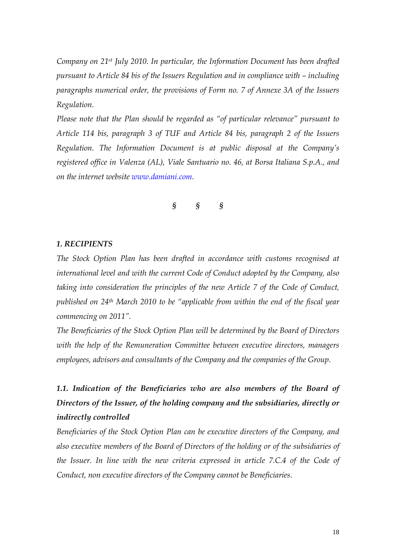*Company on 21st July 2010. In particular, the Information Document has been drafted pursuant to Article 84 bis of the Issuers Regulation and in compliance with – including paragraphs numerical order, the provisions of Form no. 7 of Annexe 3A of the Issuers Regulation.* 

*Please note that the Plan should be regarded as "of particular relevance" pursuant to Article 114 bis, paragraph 3 of TUF and Article 84 bis, paragraph 2 of the Issuers Regulation. The Information Document is at public disposal at the Company's registered office in Valenza (AL), Viale Santuario no. 46, at Borsa Italiana S.p.A., and on the internet website www.damiani.com.* 

*§ § §* 

#### *1. RECIPIENTS*

*The Stock Option Plan has been drafted in accordance with customs recognised at international level and with the current Code of Conduct adopted by the Company, also taking into consideration the principles of the new Article 7 of the Code of Conduct, published on 24th March 2010 to be "applicable from within the end of the fiscal year commencing on 2011".* 

*The Beneficiaries of the Stock Option Plan will be determined by the Board of Directors with the help of the Remuneration Committee between executive directors, managers employees, advisors and consultants of the Company and the companies of the Group.* 

# 1.1. Indication of the Beneficiaries who are also members of the Board of *Directors of the Issuer, of the holding company and the subsidiaries, directly or indirectly controlled*

*Beneficiaries of the Stock Option Plan can be executive directors of the Company, and also executive members of the Board of Directors of the holding or of the subsidiaries of the Issuer. In line with the new criteria expressed in article 7.C.4 of the Code of Conduct, non executive directors of the Company cannot be Beneficiaries.*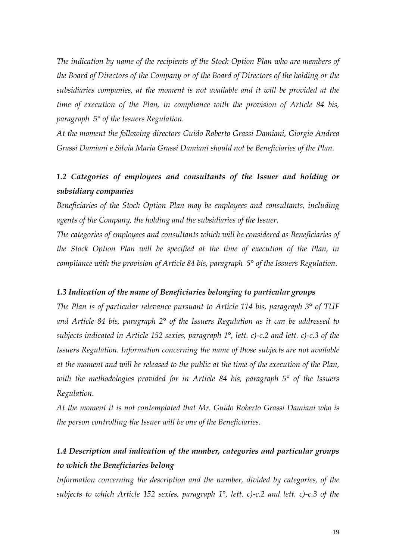*The indication by name of the recipients of the Stock Option Plan who are members of the Board of Directors of the Company or of the Board of Directors of the holding or the subsidiaries companies, at the moment is not available and it will be provided at the time of execution of the Plan, in compliance with the provision of Article 84 bis, paragraph 5° of the Issuers Regulation.* 

*At the moment the following directors Guido Roberto Grassi Damiani, Giorgio Andrea Grassi Damiani e Silvia Maria Grassi Damiani should not be Beneficiaries of the Plan.* 

## *1.2 Categories of employees and consultants of the Issuer and holding or subsidiary companies*

*Beneficiaries of the Stock Option Plan may be employees and consultants, including agents of the Company, the holding and the subsidiaries of the Issuer.* 

*The categories of employees and consultants which will be considered as Beneficiaries of the Stock Option Plan will be specified at the time of execution of the Plan, in compliance with the provision of Article 84 bis, paragraph 5° of the Issuers Regulation.* 

#### *1.3 Indication of the name of Beneficiaries belonging to particular groups*

*The Plan is of particular relevance pursuant to Article 114 bis, paragraph 3° of TUF and Article 84 bis, paragraph 2° of the Issuers Regulation as it can be addressed to subjects indicated in Article 152 sexies, paragraph 1°, lett. c)-c.2 and lett. c)-c.3 of the Issuers Regulation. Information concerning the name of those subjects are not available at the moment and will be released to the public at the time of the execution of the Plan, with the methodologies provided for in Article 84 bis, paragraph 5° of the Issuers Regulation.* 

*At the moment it is not contemplated that Mr. Guido Roberto Grassi Damiani who is the person controlling the Issuer will be one of the Beneficiaries.* 

## *1.4 Description and indication of the number, categories and particular groups to which the Beneficiaries belong*

*Information concerning the description and the number, divided by categories, of the subjects to which Article 152 sexies, paragraph 1°, lett. c)-c.2 and lett. c)-c.3 of the*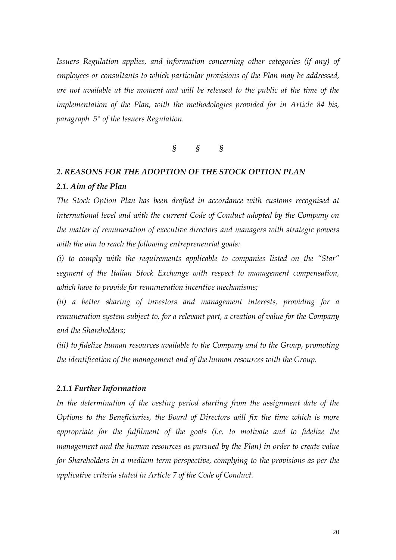*Issuers Regulation applies, and information concerning other categories (if any) of employees or consultants to which particular provisions of the Plan may be addressed, are not available at the moment and will be released to the public at the time of the implementation of the Plan, with the methodologies provided for in Article 84 bis, paragraph 5° of the Issuers Regulation.* 

### *§ § §*

### *2. REASONS FOR THE ADOPTION OF THE STOCK OPTION PLAN*

#### *2.1. Aim of the Plan*

*The Stock Option Plan has been drafted in accordance with customs recognised at international level and with the current Code of Conduct adopted by the Company on the matter of remuneration of executive directors and managers with strategic powers with the aim to reach the following entrepreneurial goals:* 

*(i) to comply with the requirements applicable to companies listed on the "Star" segment of the Italian Stock Exchange with respect to management compensation, which have to provide for remuneration incentive mechanisms;* 

*(ii) a better sharing of investors and management interests, providing for a remuneration system subject to, for a relevant part, a creation of value for the Company and the Shareholders;* 

*(iii) to fidelize human resources available to the Company and to the Group, promoting the identification of the management and of the human resources with the Group.* 

#### *2.1.1 Further Information*

In the determination of the vesting period starting from the assignment date of the *Options to the Beneficiaries, the Board of Directors will fix the time which is more*  appropriate for the fulfilment of the goals (i.e. to motivate and to fidelize the *management and the human resources as pursued by the Plan) in order to create value for Shareholders in a medium term perspective, complying to the provisions as per the applicative criteria stated in Article 7 of the Code of Conduct.*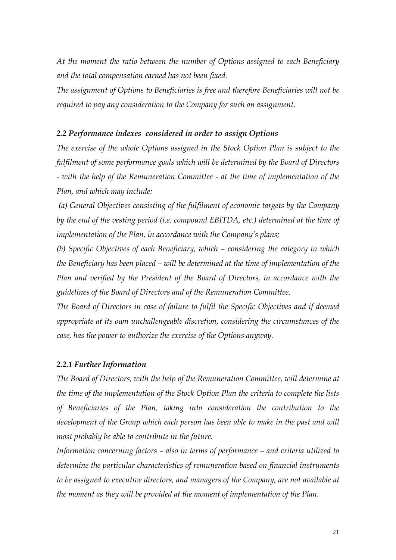*At the moment the ratio between the number of Options assigned to each Beneficiary and the total compensation earned has not been fixed.* 

*The assignment of Options to Beneficiaries is free and therefore Beneficiaries will not be required to pay any consideration to the Company for such an assignment.* 

#### *2.2 Performance indexes considered in order to assign Options*

*The exercise of the whole Options assigned in the Stock Option Plan is subject to the fulfilment of some performance goals which will be determined by the Board of Directors - with the help of the Remuneration Committee - at the time of implementation of the Plan, and which may include:* 

 *(a) General Objectives consisting of the fulfilment of economic targets by the Company by the end of the vesting period (i.e. compound EBITDA, etc.) determined at the time of implementation of the Plan, in accordance with the Company's plans;* 

*(b) Specific Objectives of each Beneficiary, which – considering the category in which the Beneficiary has been placed – will be determined at the time of implementation of the Plan and verified by the President of the Board of Directors, in accordance with the guidelines of the Board of Directors and of the Remuneration Committee.* 

*The Board of Directors in case of failure to fulfil the Specific Objectives and if deemed appropriate at its own unchallengeable discretion, considering the circumstances of the case, has the power to authorize the exercise of the Options anyway.* 

#### *2.2.1 Further Information*

*The Board of Directors, with the help of the Remuneration Committee, will determine at the time of the implementation of the Stock Option Plan the criteria to complete the lists of Beneficiaries of the Plan, taking into consideration the contribution to the development of the Group which each person has been able to make in the past and will most probably be able to contribute in the future.* 

*Information concerning factors – also in terms of performance – and criteria utilized to determine the particular characteristics of remuneration based on financial instruments to be assigned to executive directors, and managers of the Company, are not available at the moment as they will be provided at the moment of implementation of the Plan.*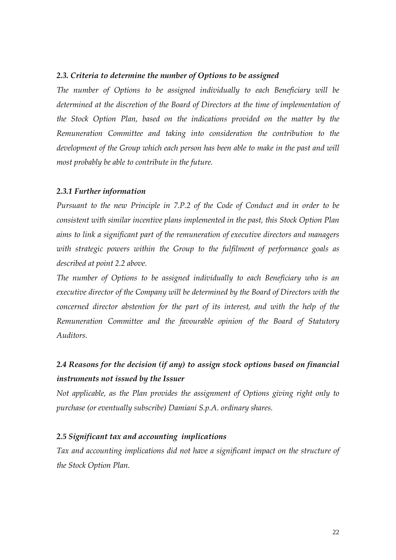#### *2.3. Criteria to determine the number of Options to be assigned*

*The number of Options to be assigned individually to each Beneficiary will be determined at the discretion of the Board of Directors at the time of implementation of the Stock Option Plan, based on the indications provided on the matter by the Remuneration Committee and taking into consideration the contribution to the development of the Group which each person has been able to make in the past and will most probably be able to contribute in the future.* 

#### *2.3.1 Further information*

*Pursuant to the new Principle in 7.P.2 of the Code of Conduct and in order to be consistent with similar incentive plans implemented in the past, this Stock Option Plan aims to link a significant part of the remuneration of executive directors and managers with strategic powers within the Group to the fulfilment of performance goals as described at point 2.2 above.* 

*The number of Options to be assigned individually to each Beneficiary who is an executive director of the Company will be determined by the Board of Directors with the concerned director abstention for the part of its interest, and with the help of the Remuneration Committee and the favourable opinion of the Board of Statutory Auditors.* 

## *2.4 Reasons for the decision (if any) to assign stock options based on financial instruments not issued by the Issuer*

*Not applicable, as the Plan provides the assignment of Options giving right only to purchase (or eventually subscribe) Damiani S.p.A. ordinary shares.* 

#### *2.5 Significant tax and accounting implications*

*Tax and accounting implications did not have a significant impact on the structure of the Stock Option Plan.*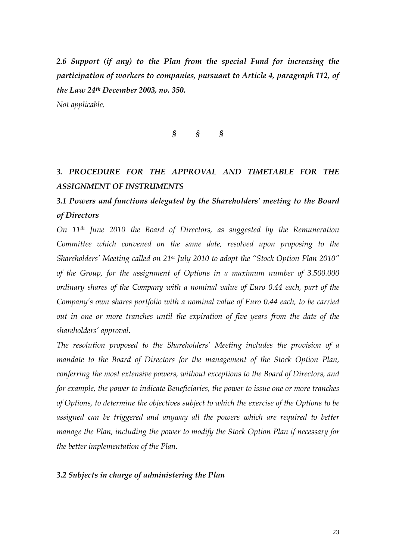*2.6 Support (if any) to the Plan from the special Fund for increasing the participation of workers to companies, pursuant to Article 4, paragraph 112, of the Law 24th December 2003, no. 350.* 

*Not applicable.* 

### *§ § §*

## *3. PROCEDURE FOR THE APPROVAL AND TIMETABLE FOR THE ASSIGNMENT OF INSTRUMENTS*

## *3.1 Powers and functions delegated by the Shareholders' meeting to the Board of Directors*

*On 11th June 2010 the Board of Directors, as suggested by the Remuneration Committee which convened on the same date, resolved upon proposing to the Shareholders' Meeting called on 21st July 2010 to adopt the "Stock Option Plan 2010" of the Group, for the assignment of Options in a maximum number of 3.500.000 ordinary shares of the Company with a nominal value of Euro 0.44 each, part of the Company's own shares portfolio with a nominal value of Euro 0.44 each, to be carried out in one or more tranches until the expiration of five years from the date of the shareholders' approval.* 

*The resolution proposed to the Shareholders' Meeting includes the provision of a mandate to the Board of Directors for the management of the Stock Option Plan, conferring the most extensive powers, without exceptions to the Board of Directors, and for example, the power to indicate Beneficiaries, the power to issue one or more tranches of Options, to determine the objectives subject to which the exercise of the Options to be*  assigned can be triggered and anyway all the powers which are required to better *manage the Plan, including the power to modify the Stock Option Plan if necessary for the better implementation of the Plan.* 

#### *3.2 Subjects in charge of administering the Plan*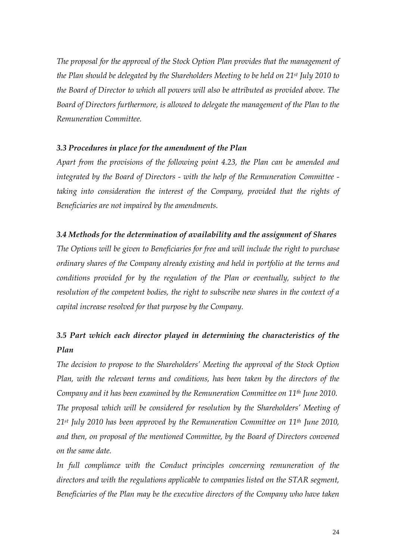*The proposal for the approval of the Stock Option Plan provides that the management of the Plan should be delegated by the Shareholders Meeting to be held on 21st July 2010 to the Board of Director to which all powers will also be attributed as provided above. The Board of Directors furthermore, is allowed to delegate the management of the Plan to the Remuneration Committee.* 

### *3.3 Procedures in place for the amendment of the Plan*

*Apart from the provisions of the following point 4.23, the Plan can be amended and integrated by the Board of Directors - with the help of the Remuneration Committee*  taking into consideration the interest of the Company, provided that the rights of *Beneficiaries are not impaired by the amendments.* 

### *3.4 Methods for the determination of availability and the assignment of Shares*

*The Options will be given to Beneficiaries for free and will include the right to purchase ordinary shares of the Company already existing and held in portfolio at the terms and conditions provided for by the regulation of the Plan or eventually, subject to the resolution of the competent bodies, the right to subscribe new shares in the context of a capital increase resolved for that purpose by the Company.* 

## *3.5 Part which each director played in determining the characteristics of the Plan*

*The decision to propose to the Shareholders' Meeting the approval of the Stock Option Plan, with the relevant terms and conditions, has been taken by the directors of the Company and it has been examined by the Remuneration Committee on 11th June 2010. The proposal which will be considered for resolution by the Shareholders' Meeting of 21st July 2010 has been approved by the Remuneration Committee on 11th June 2010, and then, on proposal of the mentioned Committee, by the Board of Directors convened on the same date.* 

*In full compliance with the Conduct principles concerning remuneration of the directors and with the regulations applicable to companies listed on the STAR segment, Beneficiaries of the Plan may be the executive directors of the Company who have taken*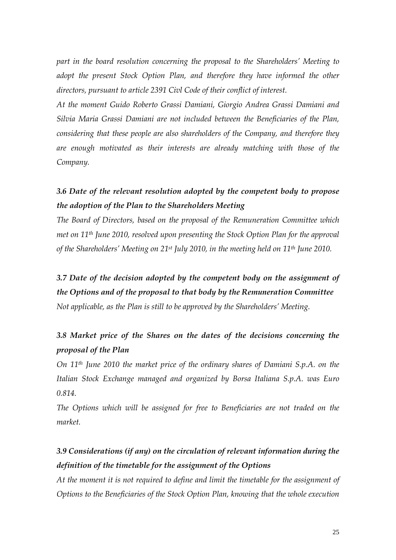*part in the board resolution concerning the proposal to the Shareholders' Meeting to* adopt the present Stock Option Plan, and therefore they have informed the other *directors, pursuant to article 2391 Civl Code of their conflict of interest.* 

*At the moment Guido Roberto Grassi Damiani, Giorgio Andrea Grassi Damiani and Silvia Maria Grassi Damiani are not included between the Beneficiaries of the Plan, considering that these people are also shareholders of the Company, and therefore they are enough motivated as their interests are already matching with those of the Company.* 

## *3.6 Date of the relevant resolution adopted by the competent body to propose the adoption of the Plan to the Shareholders Meeting*

*The Board of Directors, based on the proposal of the Remuneration Committee which met on 11th June 2010, resolved upon presenting the Stock Option Plan for the approval of the Shareholders' Meeting on 21st July 2010, in the meeting held on 11th June 2010.* 

*3.7 Date of the decision adopted by the competent body on the assignment of the Options and of the proposal to that body by the Remuneration Committee Not applicable, as the Plan is still to be approved by the Shareholders' Meeting.* 

## *3.8 Market price of the Shares on the dates of the decisions concerning the proposal of the Plan*

*On 11th June 2010 the market price of the ordinary shares of Damiani S.p.A. on the Italian Stock Exchange managed and organized by Borsa Italiana S.p.A. was Euro 0.814.* 

*The Options which will be assigned for free to Beneficiaries are not traded on the market.* 

## *3.9 Considerations (if any) on the circulation of relevant information during the definition of the timetable for the assignment of the Options*

*At the moment it is not required to define and limit the timetable for the assignment of Options to the Beneficiaries of the Stock Option Plan, knowing that the whole execution*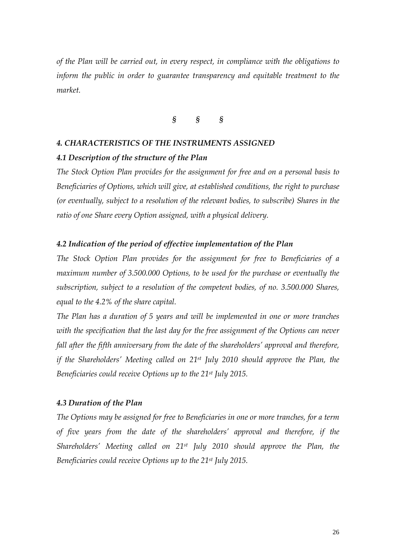*of the Plan will be carried out, in every respect, in compliance with the obligations to inform the public in order to guarantee transparency and equitable treatment to the market.* 

### *§ § §*

### *4. CHARACTERISTICS OF THE INSTRUMENTS ASSIGNED*

#### *4.1 Description of the structure of the Plan*

*The Stock Option Plan provides for the assignment for free and on a personal basis to Beneficiaries of Options, which will give, at established conditions, the right to purchase (or eventually, subject to a resolution of the relevant bodies, to subscribe) Shares in the ratio of one Share every Option assigned, with a physical delivery.* 

### *4.2 Indication of the period of effective implementation of the Plan*

*The Stock Option Plan provides for the assignment for free to Beneficiaries of a maximum number of 3.500.000 Options, to be used for the purchase or eventually the subscription, subject to a resolution of the competent bodies, of no. 3.500.000 Shares, equal to the 4.2% of the share capital.* 

*The Plan has a duration of 5 years and will be implemented in one or more tranches with the specification that the last day for the free assignment of the Options can never fall after the fifth anniversary from the date of the shareholders' approval and therefore, if the Shareholders' Meeting called on 21st July 2010 should approve the Plan, the Beneficiaries could receive Options up to the 21st July 2015.* 

#### *4.3 Duration of the Plan*

*The Options may be assigned for free to Beneficiaries in one or more tranches, for a term of five years from the date of the shareholders' approval and therefore, if the Shareholders' Meeting called on 21st July 2010 should approve the Plan, the Beneficiaries could receive Options up to the 21st July 2015.*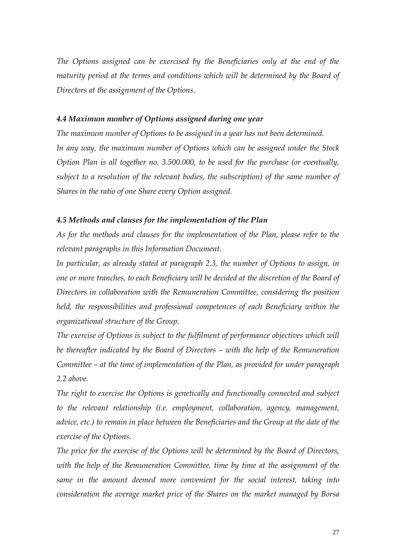*The Options assigned can be exercised by the Beneficiaries only at the end of the maturity period at the terms and conditions which will be determined by the Board of Directors at the assignment of the Options.* 

### *4.4 Maximum number of Options assigned during one year*

*The maximum number of Options to be assigned in a year has not been determined. In any way, the maximum number of Options which can be assigned under the Stock Option Plan is all together no. 3.500.000, to be used for the purchase (or eventually, subject to a resolution of the relevant bodies, the subscription) of the same number of Shares in the ratio of one Share every Option assigned.* 

#### *4.5 Methods and clauses for the implementation of the Plan*

*As for the methods and clauses for the implementation of the Plan, please refer to the relevant paragraphs in this Information Document.* 

*In particular, as already stated at paragraph 2.3, the number of Options to assign, in one or more tranches, to each Beneficiary will be decided at the discretion of the Board of Directors in collaboration with the Remuneration Committee, considering the position held, the responsibilities and professional competences of each Beneficiary within the organizational structure of the Group.* 

*The exercise of Options is subject to the fulfilment of performance objectives which will be thereafter indicated by the Board of Directors – with the help of the Remuneration Committee – at the time of implementation of the Plan, as provided for under paragraph 2.2 above.* 

*The right to exercise the Options is genetically and functionally connected and subject to the relevant relationship (i.e. employment, collaboration, agency, management, advice, etc.) to remain in place between the Beneficiaries and the Group at the date of the exercise of the Options.* 

*The price for the exercise of the Options will be determined by the Board of Directors, with the help of the Remuneration Committee, time by time at the assignment of the same in the amount deemed more convenient for the social interest, taking into consideration the average market price of the Shares on the market managed by Borsa*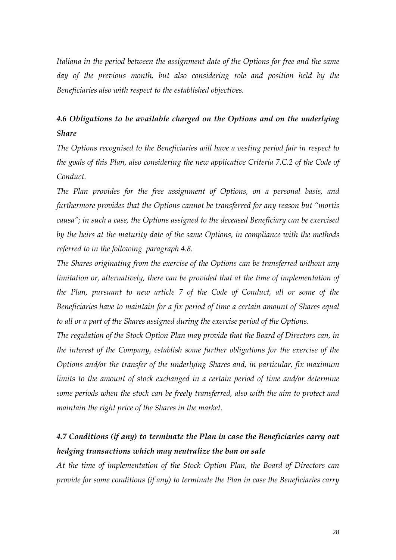*Italiana in the period between the assignment date of the Options for free and the same*  day of the previous month, but also considering role and position held by the *Beneficiaries also with respect to the established objectives.* 

## *4.6 Obligations to be available charged on the Options and on the underlying Share*

*The Options recognised to the Beneficiaries will have a vesting period fair in respect to the goals of this Plan, also considering the new applicative Criteria 7.C.2 of the Code of Conduct.* 

*The Plan provides for the free assignment of Options, on a personal basis, and furthermore provides that the Options cannot be transferred for any reason but "mortis causa"; in such a case, the Options assigned to the deceased Beneficiary can be exercised by the heirs at the maturity date of the same Options, in compliance with the methods referred to in the following paragraph 4.8.* 

*The Shares originating from the exercise of the Options can be transferred without any limitation or, alternatively, there can be provided that at the time of implementation of the Plan, pursuant to new article 7 of the Code of Conduct, all or some of the Beneficiaries have to maintain for a fix period of time a certain amount of Shares equal to all or a part of the Shares assigned during the exercise period of the Options.* 

*The regulation of the Stock Option Plan may provide that the Board of Directors can, in the interest of the Company, establish some further obligations for the exercise of the Options and/or the transfer of the underlying Shares and, in particular, fix maximum*  limits to the amount of stock exchanged in a certain period of time and/or determine *some periods when the stock can be freely transferred, also with the aim to protect and maintain the right price of the Shares in the market.* 

## *4.7 Conditions (if any) to terminate the Plan in case the Beneficiaries carry out hedging transactions which may neutralize the ban on sale*

*At the time of implementation of the Stock Option Plan, the Board of Directors can provide for some conditions (if any) to terminate the Plan in case the Beneficiaries carry*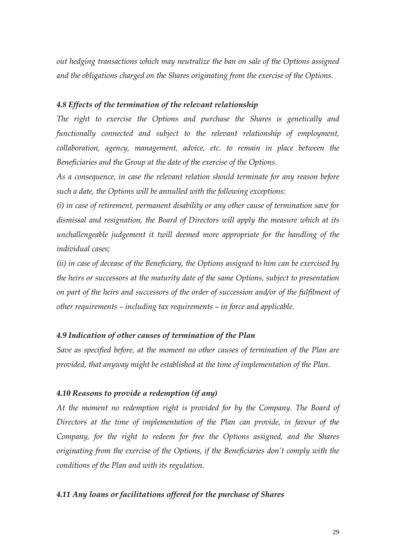*out hedging transactions which may neutralize the ban on sale of the Options assigned and the obligations charged on the Shares originating from the exercise of the Options.*

### *4.8 Effects of the termination of the relevant relationship*

*The right to exercise the Options and purchase the Shares is genetically and functionally connected and subject to the relevant relationship of employment, collaboration, agency, management, advice, etc. to remain in place between the Beneficiaries and the Group at the date of the exercise of the Options.* 

*As a consequence, in case the relevant relation should terminate for any reason before such a date, the Options will be annulled with the following exceptions:* 

*(i) in case of retirement, permanent disability or any other cause of termination save for dismissal and resignation, the Board of Directors will apply the measure which at its unchallengeable judgement it twill deemed more appropriate for the handling of the individual cases;* 

*(ii) in case of decease of the Beneficiary, the Options assigned to him can be exercised by the heirs or successors at the maturity date of the same Options, subject to presentation on part of the heirs and successors of the order of succession and/or of the fulfilment of other requirements – including tax requirements – in force and applicable.* 

#### *4.9 Indication of other causes of termination of the Plan*

*Save as specified before, at the moment no other causes of termination of the Plan are provided, that anyway might be established at the time of implementation of the Plan.* 

### *4.10 Reasons to provide a redemption (if any)*

*At the moment no redemption right is provided for by the Company. The Board of Directors at the time of implementation of the Plan can provide, in favour of the Company, for the right to redeem for free the Options assigned, and the Shares originating from the exercise of the Options, if the Beneficiaries don't comply with the conditions of the Plan and with its regulation.* 

#### *4.11 Any loans or facilitations offered for the purchase of Shares*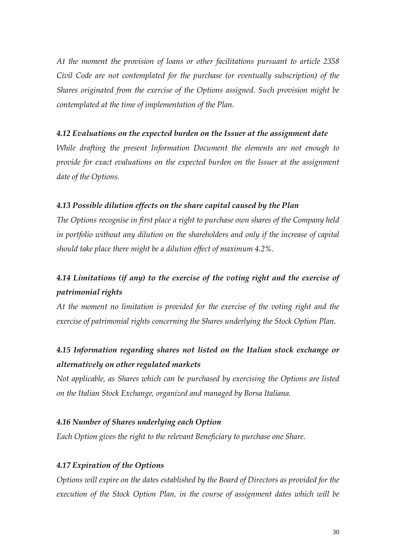*At the moment the provision of loans or other facilitations pursuant to article 2358 Civil Code are not contemplated for the purchase (or eventually subscription) of the Shares originated from the exercise of the Options assigned. Such provision might be contemplated at the time of implementation of the Plan.* 

### *4.12 Evaluations on the expected burden on the Issuer at the assignment date*

*While drafting the present Information Document the elements are not enough to provide for exact evaluations on the expected burden on the Issuer at the assignment date of the Options.* 

### *4.13 Possible dilution effects on the share capital caused by the Plan*

*The Options recognise in first place a right to purchase own shares of the Company held in portfolio without any dilution on the shareholders and only if the increase of capital should take place there might be a dilution effect of maximum 4.2%.* 

## *4.14 Limitations (if any) to the exercise of the voting right and the exercise of patrimonial rights*

*At the moment no limitation is provided for the exercise of the voting right and the exercise of patrimonial rights concerning the Shares underlying the Stock Option Plan.* 

## *4.15 Information regarding shares not listed on the Italian stock exchange or alternatively on other regulated markets*

*Not applicable, as Shares which can be purchased by exercising the Options are listed on the Italian Stock Exchange, organized and managed by Borsa Italiana.* 

### *4.16 Number of Shares underlying each Option*

*Each Option gives the right to the relevant Beneficiary to purchase one Share.* 

### *4.17 Expiration of the Options*

*Options will expire on the dates established by the Board of Directors as provided for the execution of the Stock Option Plan, in the course of assignment dates which will be*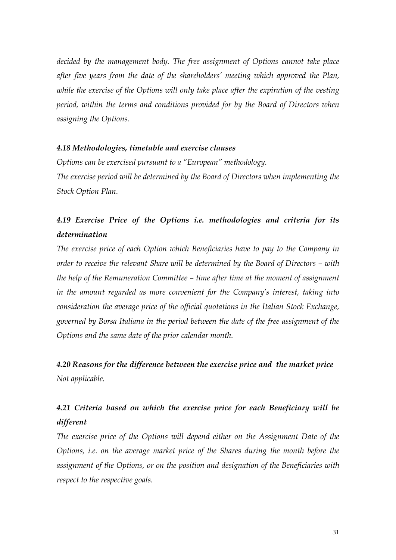*decided by the management body. The free assignment of Options cannot take place after five years from the date of the shareholders' meeting which approved the Plan, while the exercise of the Options will only take place after the expiration of the vesting period, within the terms and conditions provided for by the Board of Directors when assigning the Options.* 

#### *4.18 Methodologies, timetable and exercise clauses*

*Options can be exercised pursuant to a "European" methodology. The exercise period will be determined by the Board of Directors when implementing the Stock Option Plan.* 

## *4.19 Exercise Price of the Options i.e. methodologies and criteria for its determination*

*The exercise price of each Option which Beneficiaries have to pay to the Company in order to receive the relevant Share will be determined by the Board of Directors – with the help of the Remuneration Committee – time after time at the moment of assignment in the amount regarded as more convenient for the Company's interest, taking into consideration the average price of the official quotations in the Italian Stock Exchange, governed by Borsa Italiana in the period between the date of the free assignment of the Options and the same date of the prior calendar month.* 

*4.20 Reasons for the difference between the exercise price and the market price Not applicable.* 

## *4.21 Criteria based on which the exercise price for each Beneficiary will be different*

The exercise price of the Options will depend either on the Assignment Date of the *Options, i.e. on the average market price of the Shares during the month before the assignment of the Options, or on the position and designation of the Beneficiaries with respect to the respective goals.*